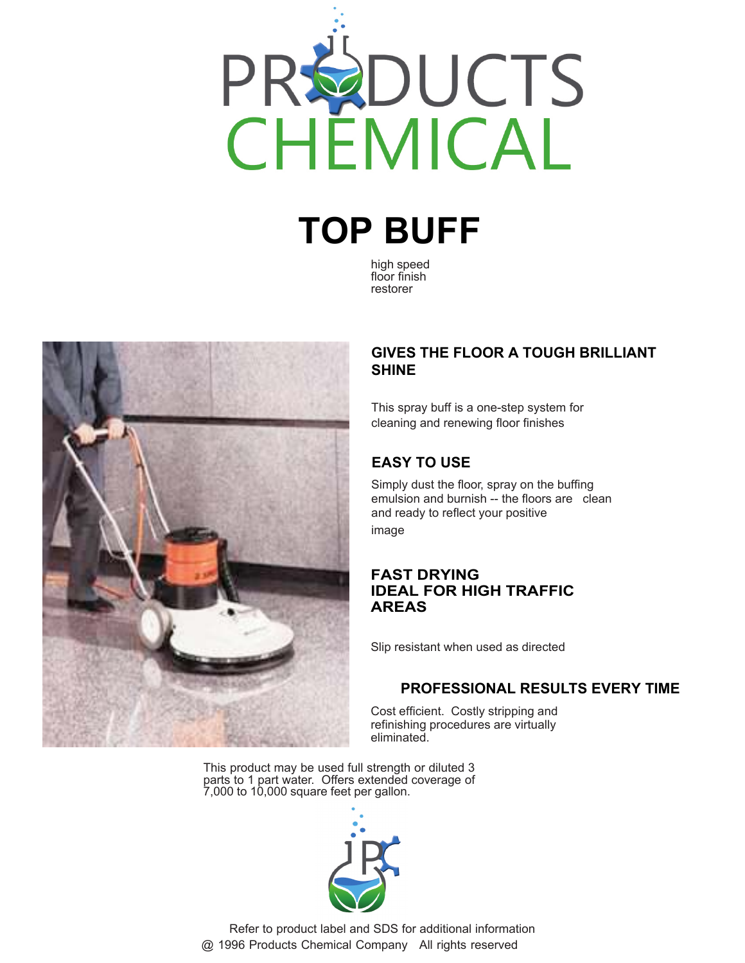

# **TOP BUFF**

high speed floor finish restorer



#### **GIVES THE FLOOR A TOUGH BRILLIANT SHINE**

This spray buff is a one-step system for cleaning and renewing floor finishes

## **EASY TO USE**

Simply dust the floor, spray on the buffing emulsion and burnish -- the floors are clean and ready to reflect your positive image

#### **FAST DRYING IDEAL FOR HIGH TRAFFIC AREAS**

Slip resistant when used as directed

#### **PROFESSIONAL RESULTS EVERY TIME**

Cost efficient. Costly stripping and refinishing procedures are virtually eliminated.

This product may be used full strength or diluted 3 parts to 1 part water. Offers extended coverage of 7,000 to 10,000 square feet per gallon.



 Refer to product label and SDS for additional information @ 1996 Products Chemical Company All rights reserved